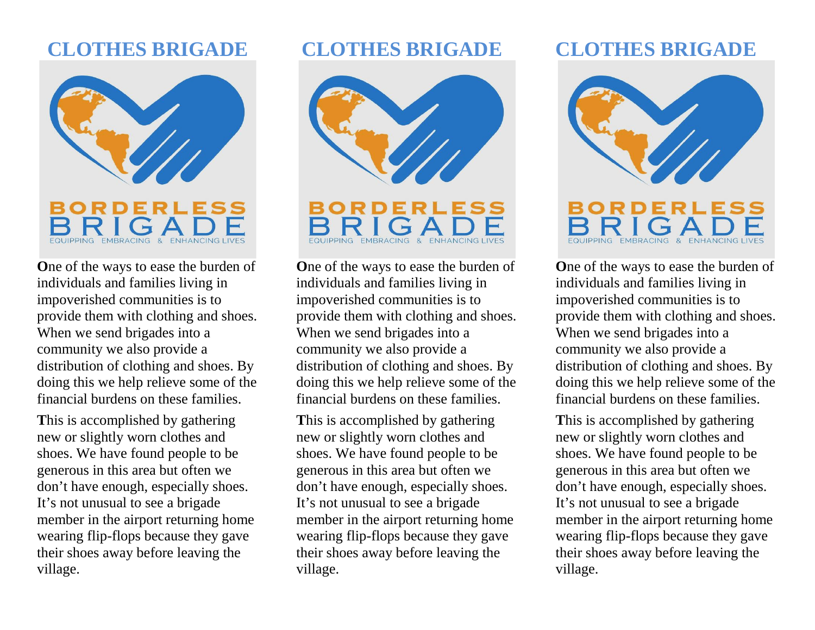## **CLOTHES BRIGADE**



**O**ne of the ways to ease the burden of individuals and families living in impoverished communities is to provide them with clothing and shoes. When we send brigades into a community we also provide a distribution of clothing and shoes. By doing this we help relieve some of the financial burdens on these families.

**T**his is accomplished by gathering new or slightly worn clothes and shoes. We have found people to be generous in this area but often we don't have enough, especially shoes. It's not unusual to see a brigade member in the airport returning home wearing flip-flops because they gave their shoes away before leaving the village.

### **CLOTHES BRIGADE**



**O**ne of the ways to ease the burden of individuals and families living in impoverished communities is to provide them with clothing and shoes. When we send brigades into a community we also provide a distribution of clothing and shoes. By doing this we help relieve some of the financial burdens on these families.

**T**his is accomplished by gathering new or slightly worn clothes and shoes. We have found people to be generous in this area but often we don't have enough, especially shoes. It's not unusual to see a brigade member in the airport returning home wearing flip-flops because they gave their shoes away before leaving the village.

# **CLOTHES BRIGADE**



**O**ne of the ways to ease the burden of individuals and families living in impoverished communities is to provide them with clothing and shoes. When we send brigades into a community we also provide a distribution of clothing and shoes. By doing this we help relieve some of the financial burdens on these families.

**T**his is accomplished by gathering new or slightly worn clothes and shoes. We have found people to be generous in this area but often we don't have enough, especially shoes. It's not unusual to see a brigade member in the airport returning home wearing flip-flops because they gave their shoes away before leaving the village.